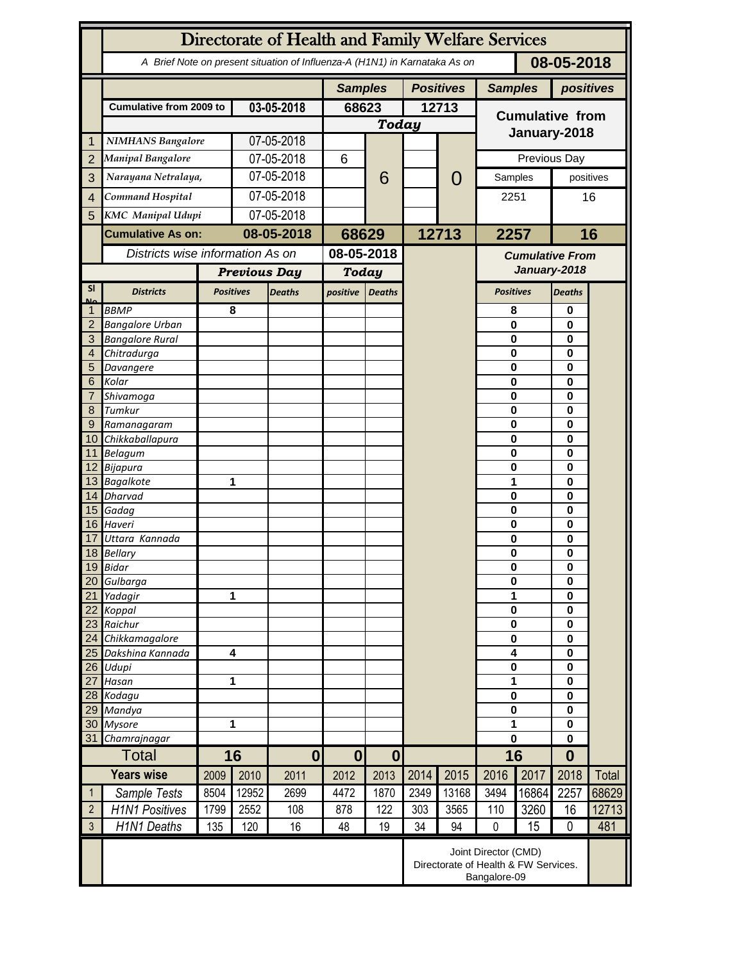|                 | Directorate of Health and Family Welfare Services                                        |                                                                              |                         |                  |                                              |                  |       |                |                                        |                                   |                      |          |  |
|-----------------|------------------------------------------------------------------------------------------|------------------------------------------------------------------------------|-------------------------|------------------|----------------------------------------------|------------------|-------|----------------|----------------------------------------|-----------------------------------|----------------------|----------|--|
|                 | 08-05-2018<br>A Brief Note on present situation of Influenza-A (H1N1) in Karnataka As on |                                                                              |                         |                  |                                              |                  |       |                |                                        |                                   |                      |          |  |
|                 |                                                                                          |                                                                              |                         | <b>Samples</b>   |                                              | <b>Positives</b> |       | <b>Samples</b> |                                        | positives                         |                      |          |  |
|                 | <b>Cumulative from 2009 to</b>                                                           |                                                                              | 03-05-2018              |                  | 68623                                        |                  | 12713 |                | <b>Cumulative from</b>                 |                                   |                      |          |  |
|                 |                                                                                          |                                                                              |                         |                  | <b>Today</b>                                 |                  |       |                |                                        |                                   |                      |          |  |
| 1               | <b>NIMHANS Bangalore</b>                                                                 |                                                                              | 07-05-2018              |                  |                                              |                  |       |                | January-2018                           |                                   |                      |          |  |
| $\overline{2}$  | <b>Manipal Bangalore</b>                                                                 |                                                                              | 07-05-2018              |                  | 6                                            |                  |       |                | Previous Day                           |                                   |                      |          |  |
| 3               | Narayana Netralaya,                                                                      |                                                                              | 07-05-2018              |                  |                                              | 6                |       | $\mathcal{O}$  | Samples                                |                                   | positives            |          |  |
|                 | Command Hospital                                                                         |                                                                              | 07-05-2018              |                  |                                              |                  |       |                |                                        |                                   | 16                   |          |  |
| $\overline{4}$  |                                                                                          |                                                                              |                         |                  |                                              |                  |       |                | 2251                                   |                                   |                      |          |  |
| 5               | <b>KMC</b> Manipal Udupi                                                                 |                                                                              | 07-05-2018              |                  |                                              |                  |       |                |                                        |                                   |                      |          |  |
|                 | <b>Cumulative As on:</b>                                                                 |                                                                              | 08-05-2018              |                  | 68629                                        |                  | 12713 |                | 2257                                   |                                   |                      | 16       |  |
|                 | Districts wise information As on                                                         |                                                                              |                         |                  | 08-05-2018                                   |                  |       |                | <b>Cumulative From</b><br>January-2018 |                                   |                      |          |  |
|                 |                                                                                          |                                                                              | <b>Previous Day</b>     |                  | <b>Today</b>                                 |                  |       |                |                                        |                                   |                      |          |  |
| <b>SI</b>       | <b>Districts</b>                                                                         |                                                                              | <b>Positives</b>        | <b>Deaths</b>    |                                              | <b>Deaths</b>    |       |                |                                        | <b>Positives</b><br><b>Deaths</b> |                      |          |  |
| Mz              | <b>BBMP</b>                                                                              |                                                                              | 8                       |                  |                                              |                  |       |                | 8                                      |                                   | 0                    |          |  |
| $\overline{2}$  | <b>Bangalore Urban</b>                                                                   |                                                                              |                         |                  |                                              |                  |       |                | 0                                      |                                   | $\bf{0}$             |          |  |
| 3               | <b>Bangalore Rural</b>                                                                   |                                                                              |                         |                  |                                              |                  |       |                | 0                                      |                                   | $\bf{0}$<br>$\bf{0}$ |          |  |
| 4               | Chitradurga                                                                              |                                                                              |                         |                  |                                              |                  |       |                | 0                                      |                                   |                      |          |  |
| 5               | Davangere                                                                                |                                                                              |                         |                  |                                              |                  |       |                | 0                                      |                                   | $\bf{0}$             |          |  |
| 6               | Kolar                                                                                    |                                                                              |                         |                  |                                              |                  |       |                | 0                                      |                                   |                      | $\bf{0}$ |  |
| 7<br>8          | Shivamoga<br>Tumkur                                                                      |                                                                              |                         |                  |                                              |                  |       |                | 0<br>0                                 |                                   | $\bf{0}$<br>$\bf{0}$ |          |  |
| 9               | Ramanagaram                                                                              |                                                                              |                         |                  |                                              |                  |       |                | 0                                      |                                   | $\bf{0}$             |          |  |
| 10 <sup>°</sup> | Chikkaballapura                                                                          |                                                                              |                         |                  |                                              |                  |       |                | $\bf{0}$                               |                                   | $\bf{0}$             |          |  |
|                 | 11 Belagum                                                                               |                                                                              |                         |                  |                                              |                  |       |                | 0                                      |                                   | 0                    |          |  |
|                 | 12 Bijapura                                                                              |                                                                              |                         |                  |                                              |                  |       |                | 0                                      | $\bf{0}$                          |                      |          |  |
|                 | 13 Bagalkote                                                                             |                                                                              |                         | 1                |                                              |                  |       |                | 1                                      |                                   | $\bf{0}$             |          |  |
|                 | 14 Dharvad                                                                               |                                                                              |                         |                  |                                              |                  |       |                | 0                                      |                                   | 0<br>$\bf{0}$        |          |  |
|                 | 15 Gadag<br>16 Haveri                                                                    |                                                                              |                         |                  |                                              |                  |       |                |                                        | $\bf{0}$<br>$\bf{0}$              |                      |          |  |
| 17              | Uttara Kannada                                                                           |                                                                              |                         |                  |                                              |                  |       |                | 0                                      |                                   | $\bf{0}$<br>$\bf{0}$ |          |  |
|                 | 18 Bellary                                                                               |                                                                              |                         |                  |                                              |                  |       |                | 0                                      |                                   | 0                    |          |  |
|                 | 19 Bidar                                                                                 |                                                                              |                         |                  |                                              |                  |       |                |                                        | 0                                 |                      |          |  |
| 20              | Gulbarga                                                                                 |                                                                              |                         |                  |                                              |                  |       |                |                                        | $\bf{0}$                          |                      |          |  |
| 21              | Yadagir                                                                                  | 1                                                                            |                         |                  |                                              |                  |       |                | 1                                      |                                   | $\bf{0}$             |          |  |
| 22              | Koppal                                                                                   |                                                                              |                         |                  |                                              |                  |       |                | 0                                      |                                   | $\bf{0}$             |          |  |
| 23<br>24        | Raichur<br>Chikkamagalore                                                                |                                                                              |                         |                  |                                              |                  |       |                | $\bf{0}$<br>$\bf{0}$                   |                                   | $\bf{0}$<br>$\bf{0}$ |          |  |
| 25              | Dakshina Kannada                                                                         |                                                                              | $\overline{\mathbf{4}}$ |                  |                                              |                  |       |                | 4                                      |                                   | $\bf{0}$             |          |  |
| 26              | Udupi                                                                                    |                                                                              |                         |                  |                                              |                  |       |                | $\bf{0}$                               |                                   | $\mathbf 0$          |          |  |
| 27              | Hasan                                                                                    |                                                                              | 1                       |                  |                                              |                  |       |                |                                        | 1                                 |                      |          |  |
|                 | 28 Kodagu                                                                                |                                                                              |                         |                  |                                              |                  |       |                | 0                                      |                                   | $\bf{0}$             |          |  |
| 29              | Mandya                                                                                   |                                                                              |                         |                  |                                              |                  |       |                | $\bf{0}$                               |                                   | $\pmb{0}$            |          |  |
| 30              | <b>Mysore</b>                                                                            |                                                                              | 1                       |                  |                                              |                  |       |                | 1                                      |                                   | $\bf{0}$             |          |  |
| 31              | Chamrajnagar                                                                             |                                                                              |                         |                  |                                              |                  |       |                | $\mathbf 0$                            |                                   | $\pmb{0}$            |          |  |
|                 | <b>Total</b>                                                                             | 16<br>2009                                                                   |                         | $\boldsymbol{0}$ | $\bf{0}$<br>$\boldsymbol{0}$<br>2012<br>2013 |                  |       |                | 16                                     |                                   | $\boldsymbol{0}$     |          |  |
|                 | <b>Years wise</b>                                                                        |                                                                              | 2010                    | 2011             |                                              |                  | 2014  | 2015           | 2016                                   | 2017                              | 2018                 | Total    |  |
| $\mathbf{1}$    | Sample Tests                                                                             | 8504                                                                         | 12952                   | 2699             | 4472                                         | 1870             | 2349  | 13168          | 3494                                   | 16864                             | 2257                 | 68629    |  |
| $\overline{2}$  | <b>H1N1 Positives</b>                                                                    | 1799                                                                         | 2552                    | 108              | 878                                          | 122              | 303   | 3565           | 110                                    | 3260                              | 16                   | 12713    |  |
| $\mathfrak{Z}$  | H1N1 Deaths                                                                              | 135                                                                          | 120                     | 16               | 48                                           | 19               | 34    | 94             | $\mathbf 0$                            | 15                                | $\mathbf 0$          | 481      |  |
|                 |                                                                                          | Joint Director (CMD)<br>Directorate of Health & FW Services.<br>Bangalore-09 |                         |                  |                                              |                  |       |                |                                        |                                   |                      |          |  |